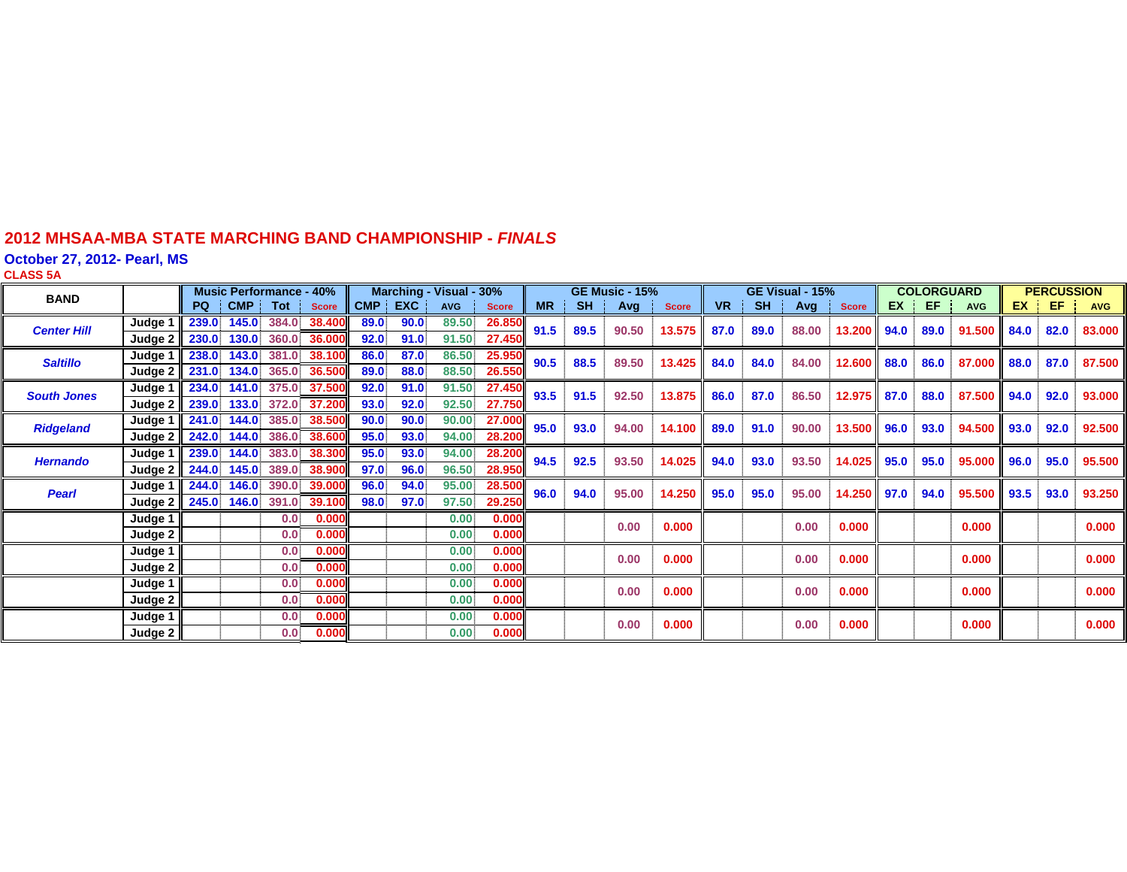#### **2012 MHSAA-MBA STATE MARCHING BAND CHAMPIONSHIP -** *FINAL S*

**October 27, 2012- Pearl, MS**

**CLASS 5 A**

| <b>BAND</b>        |                     | <b>Music Performance - 40%</b> |       |                  | Marching - Visual - 30% |      |         |            | <b>GE Music - 15%</b> |           |               | GE Visual - 15% |              |           | <b>COLORGUARD</b> |       |              | <b>PERCUSSION</b> |      |            |      |         |            |
|--------------------|---------------------|--------------------------------|-------|------------------|-------------------------|------|---------|------------|-----------------------|-----------|---------------|-----------------|--------------|-----------|-------------------|-------|--------------|-------------------|------|------------|------|---------|------------|
|                    |                     | PQ                             | CMP ! | Tot              | <b>Score</b>            |      | CMP EXC | <b>AVG</b> | <b>Score</b>          | <b>MR</b> | <b>SH</b>     | Avg             | <b>Score</b> | <b>VR</b> | <b>SH</b>         | Avg   | <b>Score</b> | <b>EX</b>         | EF.  | <b>AVG</b> |      | $EX$ EF | <b>AVG</b> |
| <b>Center Hill</b> | Judge 1             | 239.0                          | 145.0 | 384.0            | 38.400                  | 89.0 | 90.0    | 89.50      | 26.850                | 91.5      | 89.5          | 90.50           | 13.575       | 87.0      | 89.0              | 88.00 | 13.200       | 94.0              | 89.0 | 91.500     | 84.0 | 82.0    | 83.000     |
|                    | Judge 2             | 230.0                          | 130.0 |                  | 360.0 36.000            | 92.0 | 91.0    | 91.50      | 27.450                |           |               |                 |              |           |                   |       |              |                   |      |            |      |         |            |
| <b>Saltillo</b>    | Judge 1             | 238.0                          | 143.0 | 381.0            | 38.100                  | 86.0 | 87.0    | 86.50      | 25.950                | 90.5      | 88.5<br>89.50 |                 | 13.425       | 84.0      | 84.0              | 84.00 | 12.600       | 88.0              | 86.0 | 87.000     | 88.0 | 87.0    | 87.500     |
|                    | Judge 2             | 231.0                          | 134.0 |                  | 365.0 36.500            | 89.0 | 88.0    | 88.50      | 26.550                |           |               |                 |              |           |                   |       |              |                   |      |            |      |         |            |
| <b>South Jones</b> | Judge 1             | 234.0                          | 141.0 | 375.0            | 37.500                  | 92.0 | 91.0    | 91.50      | 27.450                | 93.5      | 91.5          | 92.50           | 13.875       | 86.0      | 87.0              | 86.50 | 12.975       | 87.0              | 88.0 | 87.500     | 94.0 | 92.0    | 93.000     |
|                    | Judge 2             | 239.0                          |       |                  | 133.0 372.0 37.200      | 93.0 | 92.0    | 92.50      | 27.750                |           |               |                 |              |           |                   |       |              |                   |      |            |      |         |            |
| <b>Ridgeland</b>   | Judge 1             | 241.0                          | 144.0 | 385.0            | 38.500                  | 90.0 | 90.0    | 90.00      | 27.000                | 95.0      | 93.0          | 94.00           | 14.100       | 89.0      | 91.0              | 90.00 | 13.500       | 96.0              | 93.0 | 94.500 ll  | 93.0 | 92.0    | 92.500     |
|                    | Judge 2             | 242.0                          |       |                  | 144.0 386.0 38.600      | 95.0 | 93.0    | 94.00      | 28.200                |           |               |                 |              |           |                   |       |              |                   |      |            |      |         |            |
| <b>Hernando</b>    | Judge 1             | 239.0                          | 144.0 | 383.0            | 38.300                  | 95.0 | 93.0    | 94.00      | 28.200                | 94.5      | 92.5          | 93.50           | 14.025       | 94.0      | 93.0              | 93.50 | 14.025       | 95.0              | 95.0 | 95.000     | 96.0 | 95.0    | 95.500     |
|                    | Judge 2             | 244.0                          | 145.0 | 389.0            | 38.900                  | 97.0 | 96.0    | 96.50      | 28.950                |           |               |                 |              |           |                   |       |              |                   |      |            |      |         |            |
| <b>Pearl</b>       | Judge 1             | 244.0                          | 146.0 | 390.0            | 39.000                  | 96.0 | 94.0    | 95.00      | 28.500                | 96.0      | 94.0          | 95.00           | 14.250       | 95.0      | 95.0              | 95.00 | 14.250       | 97.0              | 94.0 | 95.500     | 93.5 | 93.0    | 93.250     |
|                    | Judge $2 \parallel$ | 245.0                          | 146.0 | 391.0            | 39.100                  | 98.0 | 97.0    | 97.50      | 29.250                |           |               |                 |              |           |                   |       |              |                   |      |            |      |         |            |
|                    | Judge 1             |                                |       | 0.0              | 0.000                   |      |         | 0.00       | 0.000                 |           |               | 0.00            | 0.000        |           |                   | 0.00  | 0.000        |                   |      | 0.000      |      |         | 0.000      |
|                    | Judge 2             |                                |       | 0.0              | 0.000                   |      |         | 0.00       | 0.000                 |           |               |                 |              |           |                   |       |              |                   |      |            |      |         |            |
|                    | Judge 1             |                                |       | 0.0 <sup>1</sup> | 0.000                   |      |         | 0.00       | 0.000                 |           |               | 0.00            | 0.000        |           |                   | 0.00  | 0.000        |                   |      | 0.000      |      |         | 0.000      |
|                    | Judge 2             |                                |       | 0.0              | 0.000                   |      |         | 0.00       | 0.000                 |           |               |                 |              |           |                   |       |              |                   |      |            |      |         |            |
|                    | Judge 1             |                                |       | 0.0              | 0.000                   |      |         | 0.00       | 0.000                 |           |               | 0.00            | 0.000        |           |                   | 0.00  | 0.000        |                   |      | 0.000      |      |         | 0.000      |
|                    | Judge 2             |                                |       | 0.0 <sub>1</sub> | 0.000                   |      |         | 0.00       | 0.000                 |           |               |                 |              |           |                   |       |              |                   |      |            |      |         |            |
|                    | Judge 1             |                                |       | 0.0 <sub>1</sub> | 0.000                   |      |         | 0.00       | 0.000                 |           |               | 0.00            | 0.000        |           |                   | 0.00  | 0.000        |                   |      | 0.000      |      |         | 0.000      |
|                    | Judge 2             |                                |       | 0.0              | 0.000                   |      |         | 0.00.      | 0.000                 |           |               |                 |              |           |                   |       |              |                   |      |            |      |         |            |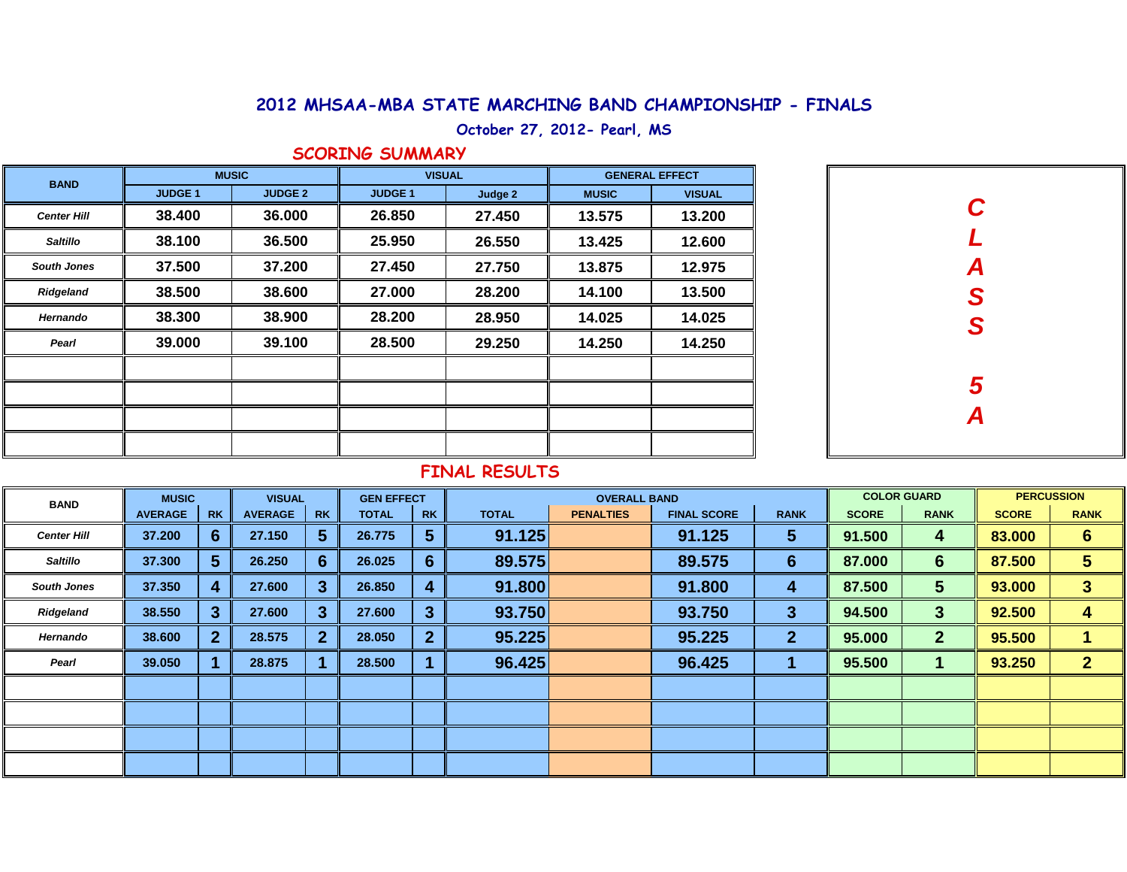## **2012 MHSAA-MBA STATE MARCHING BAND CHAMPIONSHIP - FINALS**

**October 27, 2012- Pearl, MS**

### **SCORING SUMMARY**

| <b>BAND</b>        |                | <b>MUSIC</b>   | <b>VISUAL</b>  |         | <b>GENERAL EFFECT</b> |               |  |  |
|--------------------|----------------|----------------|----------------|---------|-----------------------|---------------|--|--|
|                    | <b>JUDGE 1</b> | <b>JUDGE 2</b> | <b>JUDGE 1</b> | Judge 2 | <b>MUSIC</b>          | <b>VISUAL</b> |  |  |
| <b>Center Hill</b> | 38.400         | 36.000         | 26.850         | 27.450  | 13.575                | 13.200        |  |  |
| Saltillo           | 38.100         | 36.500         | 25.950         | 26.550  | 13.425                | 12.600        |  |  |
| <b>South Jones</b> | 37.500         | 37.200         | 27.450         | 27.750  | 13.875                | 12.975        |  |  |
| Ridgeland          | 38.500         | 38.600         | 27.000         | 28.200  | 14.100                | 13.500        |  |  |
| Hernando           | 38.300         | 38.900         | 28.200         | 28.950  | 14.025                | 14.025        |  |  |
| Pearl              | 39.000         | 39.100         | 28.500         | 29.250  | 14.250                | 14.250        |  |  |
|                    |                |                |                |         |                       |               |  |  |
|                    |                |                |                |         |                       |               |  |  |
|                    |                |                |                |         |                       |               |  |  |
|                    |                |                |                |         |                       |               |  |  |

| CLASS         |
|---------------|
|               |
|               |
|               |
|               |
| $\frac{5}{4}$ |
|               |

## **FINAL RESULTS**

| <b>BAND</b>        | <b>MUSIC</b>   |              | <b>VISUAL</b>  |           | <b>GEN EFFECT</b> |                | <b>OVERALL BAND</b> |                  |                    |                 | <b>COLOR GUARD</b> |                 | <b>PERCUSSION</b> |                |
|--------------------|----------------|--------------|----------------|-----------|-------------------|----------------|---------------------|------------------|--------------------|-----------------|--------------------|-----------------|-------------------|----------------|
|                    | <b>AVERAGE</b> | <b>RK</b>    | <b>AVERAGE</b> | <b>RK</b> | <b>TOTAL</b>      | <b>RK</b>      | <b>TOTAL</b>        | <b>PENALTIES</b> | <b>FINAL SCORE</b> | <b>RANK</b>     | <b>SCORE</b>       | <b>RANK</b>     | <b>SCORE</b>      | <b>RANK</b>    |
| <b>Center Hill</b> | 37.200         | 6            | 27.150         | 5         | 26.775            | $\sqrt{5}$     | 91.125              |                  | 91.125             | $\sqrt{5}$      | 91.500             | 4               | 83.000            | 6              |
| <b>Saltillo</b>    | 37.300         | 5            | 26.250         | 6         | 26.025            | 6              | 89.575              |                  | 89.575             | $6\phantom{1}6$ | 87.000             | $6\phantom{1}6$ | 87.500            | 5              |
| <b>South Jones</b> | 37.350         | 4            | 27.600         | З         | 26.850            | 4              | 91.800              |                  | 91.800             | 4               | 87.500             | $5\phantom{1}$  | 93.000            | 3              |
| Ridgeland          | 38.550         | 3            | 27.600         |           | 27.600            | $\mathbf{3}$   | 93.750              |                  | 93.750             | $\mathbf{3}$    | 94.500             | $\mathbf{3}$    | 92.500            | 4              |
| Hernando           | 38.600         | $\mathbf{2}$ | 28.575         | 2         | 28.050            | 2 <sup>2</sup> | 95.225              |                  | 95.225             | $\mathbf{2}$    | 95.000             | $\overline{2}$  | 95.500            |                |
| Pearl              | 39.050         |              | 28.875         |           | 28.500            |                | 96.425              |                  | 96.425             |                 | 95.500             |                 | 93.250            | $\overline{2}$ |
|                    |                |              |                |           |                   |                |                     |                  |                    |                 |                    |                 |                   |                |
|                    |                |              |                |           |                   |                |                     |                  |                    |                 |                    |                 |                   |                |
|                    |                |              |                |           |                   |                |                     |                  |                    |                 |                    |                 |                   |                |
|                    |                |              |                |           |                   |                |                     |                  |                    |                 |                    |                 |                   |                |